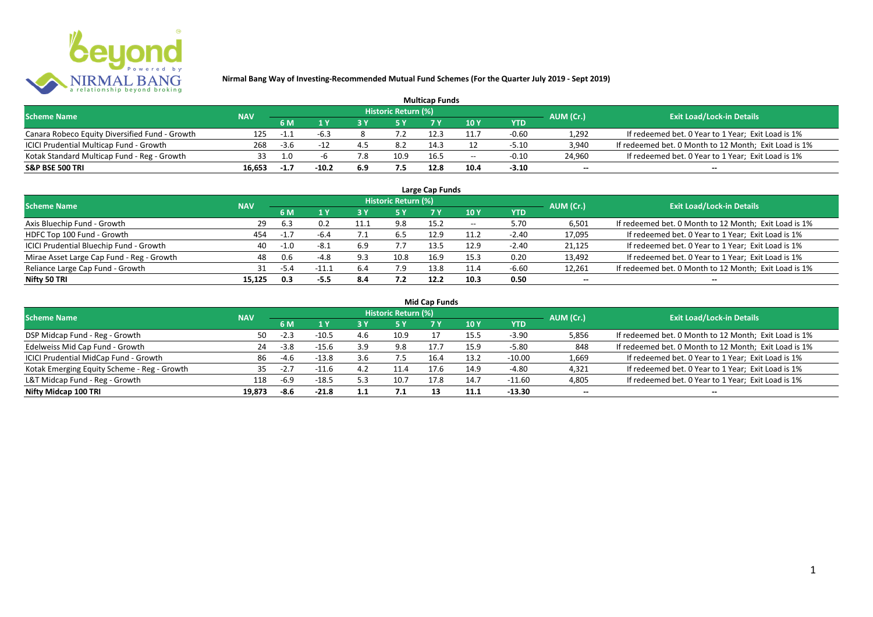

| <b>Multicap Funds</b>                          |            |        |         |     |                            |      |                          |         |                          |                                                       |  |  |
|------------------------------------------------|------------|--------|---------|-----|----------------------------|------|--------------------------|---------|--------------------------|-------------------------------------------------------|--|--|
| <b>Scheme Name</b>                             | <b>NAV</b> |        |         |     | <b>Historic Return (%)</b> |      |                          |         | AUM (Cr.)                | <b>Exit Load/Lock-in Details</b>                      |  |  |
|                                                |            | 6 M    |         |     |                            |      | 10Y                      | YTD     |                          |                                                       |  |  |
| Canara Robeco Equity Diversified Fund - Growth | 125        | -1.1   | -6.3    |     |                            |      |                          | $-0.60$ | 1,292                    | If redeemed bet. 0 Year to 1 Year; Exit Load is 1%    |  |  |
| ICICI Prudential Multicap Fund - Growth        | 268        | $-3.6$ |         |     | 8.2                        | 14.3 |                          | $-5.10$ | 3,940                    | If redeemed bet. 0 Month to 12 Month; Exit Load is 1% |  |  |
| Kotak Standard Multicap Fund - Reg - Growth    | วว         |        |         | 7.8 | 10.9                       | 16.5 | $\overline{\phantom{a}}$ | $-0.10$ | 24,960                   | If redeemed bet. 0 Year to 1 Year; Exit Load is 1%    |  |  |
| S&P BSE 500 TRI                                | 16.653     | $-1.7$ | $-10.2$ | 6.9 |                            | 12.8 |                          | $-3.10$ | $\overline{\phantom{a}}$ | $\overline{\phantom{a}}$                              |  |  |

| Large Cap Funds<br>Historic Return (%)    |            |        |         |      |      |      |       |            |                          |                                                       |  |  |  |
|-------------------------------------------|------------|--------|---------|------|------|------|-------|------------|--------------------------|-------------------------------------------------------|--|--|--|
| <b>Scheme Name</b>                        | <b>NAV</b> |        |         |      |      |      |       |            | AUM (Cr.)                | <b>Exit Load/Lock-in Details</b>                      |  |  |  |
|                                           |            | 6 M    | 1 Y     | ט כ  | 5 Y  |      | 10Y   | <b>YTD</b> |                          |                                                       |  |  |  |
| Axis Bluechip Fund - Growth               | 29         | 6.3    | 0.2     | 11.1 | 9.8  | 15.2 | $- -$ | 5.70       | 6,501                    | If redeemed bet. 0 Month to 12 Month; Exit Load is 1% |  |  |  |
| HDFC Top 100 Fund - Growth                | 454        | $-1.7$ | $-6.4$  |      | 6.5  | 12.9 | 11.2  | $-2.40$    | 17,095                   | If redeemed bet. 0 Year to 1 Year; Exit Load is 1%    |  |  |  |
| ICICI Prudential Bluechip Fund - Growth   | 40         | $-1.0$ | $-8.1$  | 6.9  | 7.7  | 13.5 | 12.9  | $-2.40$    | 21,125                   | If redeemed bet. 0 Year to 1 Year; Exit Load is 1%    |  |  |  |
| Mirae Asset Large Cap Fund - Reg - Growth | 48         | 0.6    | $-4.8$  | 9.3  | 10.8 | 16.9 | 15.3  | 0.20       | 13,492                   | If redeemed bet. 0 Year to 1 Year; Exit Load is 1%    |  |  |  |
| Reliance Large Cap Fund - Growth          | 31         | -5.4   | $-11.1$ | 6.4  | 7.9  | 13.8 | 11.4  | $-6.60$    | 12,261                   | If redeemed bet. 0 Month to 12 Month; Exit Load is 1% |  |  |  |
| Nifty 50 TRI                              | 15.125     | 0.3    | -5.5    | 8.4  | 7.2  | 12.2 | 10.3  | 0.50       | $\overline{\phantom{a}}$ | $\overline{\phantom{a}}$                              |  |  |  |

| <b>Mid Cap Funds</b> |  |  |  |  |
|----------------------|--|--|--|--|
|----------------------|--|--|--|--|

| <b>Scheme Name</b>                          | <b>NAV</b> |        |         |     | Historic Return (%) |      |      |            | AUM (Cr.)                | <b>Exit Load/Lock-in Details</b>                      |
|---------------------------------------------|------------|--------|---------|-----|---------------------|------|------|------------|--------------------------|-------------------------------------------------------|
|                                             |            | 6 M    |         |     | <b>5Y</b>           |      | 10 ۱ | <b>YTD</b> |                          |                                                       |
| DSP Midcap Fund - Reg - Growth              | 50.        | $-2.3$ | $-10.5$ | 4.6 | 10.9                |      | 15.5 | $-3.90$    | 5,856                    | If redeemed bet. 0 Month to 12 Month; Exit Load is 1% |
| Edelweiss Mid Cap Fund - Growth             | 24         | $-3.8$ | $-15.6$ | 3.9 | 9.8                 |      |      | $-5.80$    | 848                      | If redeemed bet. 0 Month to 12 Month; Exit Load is 1% |
| ICICI Prudential MidCap Fund - Growth       | 86         | -4.h   | $-13.8$ |     |                     |      | 13.2 | $-10.00$   | 1,669                    | If redeemed bet. 0 Year to 1 Year; Exit Load is 1%    |
| Kotak Emerging Equity Scheme - Reg - Growth | 35.        |        | $-11.6$ | 4.2 | 11.4                |      | 14.9 | $-4.80$    | 4,321                    | If redeemed bet. 0 Year to 1 Year; Exit Load is 1%    |
| L&T Midcap Fund - Reg - Growth              | 118        | $-6.9$ | $-18.5$ | 5.3 | 10.7                | 17.8 | 14.7 | -11.60     | 4,805                    | If redeemed bet. 0 Year to 1 Year; Exit Load is 1%    |
| Nifty Midcap 100 TRI                        | 19.873     | -8.6   | $-21.8$ | 1.1 |                     |      | 11.1 | $-13.30$   | $\overline{\phantom{a}}$ | $\overline{\phantom{a}}$                              |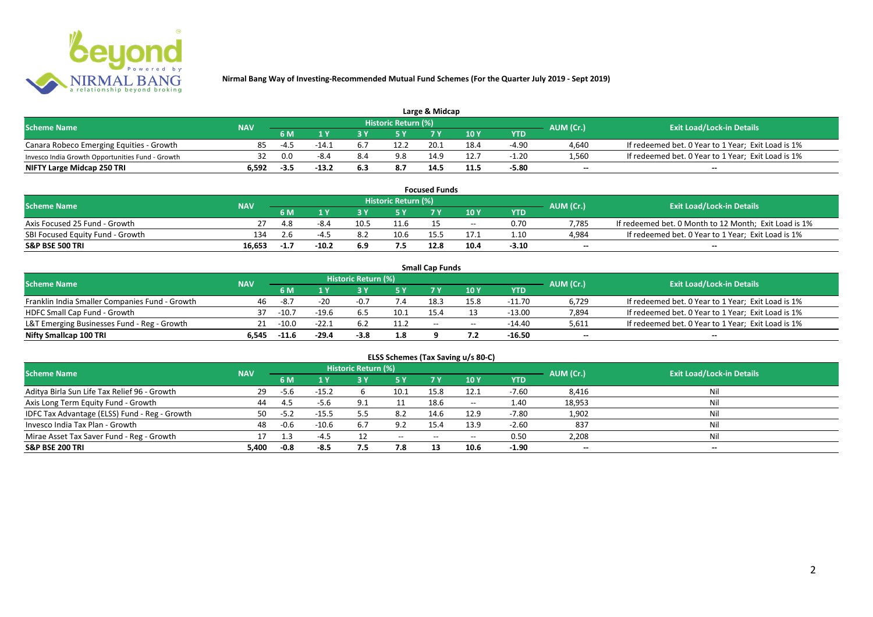

| Large & Midcap                                   |            |      |         |      |                     |      |       |         |           |                                                    |  |  |
|--------------------------------------------------|------------|------|---------|------|---------------------|------|-------|---------|-----------|----------------------------------------------------|--|--|
| <b>Scheme Name</b>                               | <b>NAV</b> |      |         |      | Historic Return (%) |      |       |         | AUM (Cr.) | <b>Exit Load/Lock-in Details</b>                   |  |  |
|                                                  |            | 6 M  |         |      |                     |      | 10Y   | YTD     |           |                                                    |  |  |
| Canara Robeco Emerging Equities - Growth         | 85         | -4.5 | $-14.1$ |      | 12.2                | 20.1 | 18.4  | $-4.90$ | 4,640     | If redeemed bet. 0 Year to 1 Year; Exit Load is 1% |  |  |
| Invesco India Growth Opportunities Fund - Growth |            | 0.0  | $-8.4$  |      | 9.8                 | 14.9 | 12. . | $-1.20$ | 1,560     | If redeemed bet. 0 Year to 1 Year; Exit Load is 1% |  |  |
| NIFTY Large Midcap 250 TRI                       | ۔592       | -3.5 | $-13.2$ | -6.3 | 8.7                 | 14.  | 11.5  | -5.80   | $-$       | $- -$                                              |  |  |

|                                  |            |        |       |      |                     | <b>Focused Funds</b> |       |            |                          |                                                       |
|----------------------------------|------------|--------|-------|------|---------------------|----------------------|-------|------------|--------------------------|-------------------------------------------------------|
| <b>Scheme Name</b>               | <b>NAV</b> |        |       |      | Historic Return (%) |                      |       |            | AUM (Cr.)                | <b>Exit Load/Lock-in Details</b>                      |
|                                  |            | 6 M    | 4 V   |      | <b>EV</b>           | 7 V                  | 10 Y  | <b>YTD</b> |                          |                                                       |
| Axis Focused 25 Fund - Growth    |            | 4.8    | -8.4  | 10.5 | 11.6                |                      | $- -$ | 0.70       | 7.785                    | If redeemed bet. 0 Month to 12 Month; Exit Load is 1% |
| SBI Focused Equity Fund - Growth | 134        | 2.h    | -4 -  |      | 10.6                | 15.5                 |       | 1.10       | 4,984                    | If redeemed bet. 0 Year to 1 Year; Exit Load is 1%    |
| S&P BSE 500 TRI                  | 16.653     | $-1.7$ | -10.2 |      |                     | 12.8                 | 10.4  | $-3.10$    | $\overline{\phantom{a}}$ | $- -$                                                 |

|                                                |            |         |         |                     |      | <b>Small Cap Funds</b> |                                       |          |                          |                                                    |
|------------------------------------------------|------------|---------|---------|---------------------|------|------------------------|---------------------------------------|----------|--------------------------|----------------------------------------------------|
| <b>Scheme Name</b>                             | <b>NAV</b> |         |         | Historic Return (%) |      |                        |                                       |          | AUM (Cr.)                | <b>Exit Load/Lock-in Details</b>                   |
|                                                |            | 6 M     |         |                     |      |                        | 10 Y                                  | YTD      |                          |                                                    |
| Franklin India Smaller Companies Fund - Growth | 46         | $-8.7$  | $-20$   | $-0.7$              | 7.4  | 18.3                   | 15.8                                  | $-11.70$ | 6,729                    | If redeemed bet. 0 Year to 1 Year; Exit Load is 1% |
| HDFC Small Cap Fund - Growth                   | 37         | $-10.7$ | $-19.6$ | 6.5                 | 10.1 | 15.4                   |                                       | $-13.00$ | 7,894                    | If redeemed bet. 0 Year to 1 Year; Exit Load is 1% |
| L&T Emerging Businesses Fund - Reg - Growth    | 21         | $-10.0$ | $-22.1$ |                     | 11.2 | $-$                    | $\hspace{0.05cm}$ – $\hspace{0.05cm}$ | -14.40   | 5,611                    | If redeemed bet. 0 Year to 1 Year; Exit Load is 1% |
| Nifty Smallcap 100 TRI                         | 6.545      | $-11.6$ | $-29.4$ | $-3.8$              | 1.8  |                        |                                       | -16.50   | $\overline{\phantom{a}}$ | $-$                                                |

| ELSS Schemes (Tax Saving u/s 80-C)            |            |           |         |                     |           |            |                                       |            |                          |                                  |  |  |
|-----------------------------------------------|------------|-----------|---------|---------------------|-----------|------------|---------------------------------------|------------|--------------------------|----------------------------------|--|--|
| <b>Scheme Name</b>                            | <b>NAV</b> |           |         | Historic Return (%) |           |            |                                       |            | AUM (Cr.)                | <b>Exit Load/Lock-in Details</b> |  |  |
|                                               |            | <b>6M</b> | 1 Y     | 3 Y                 | <b>5Y</b> | <b>7 Y</b> | 10 Y                                  | <b>YTD</b> |                          |                                  |  |  |
| Aditya Birla Sun Life Tax Relief 96 - Growth  | 29         | $-5.6$    | $-15.2$ |                     | 10.1      | 15.8       | 12.1                                  | $-7.60$    | 8,416                    | Nil                              |  |  |
| Axis Long Term Equity Fund - Growth           | 44         | -4.5      | $-5.6$  | 9.1                 |           | 18.6       | $- -$                                 | 1.40       | 18,953                   | Nil                              |  |  |
| IDFC Tax Advantage (ELSS) Fund - Reg - Growth | 50.        | $-5.2$    | $-15.5$ |                     | 8.2       | 14.6       | 12.9                                  | $-7.80$    | 1,902                    | Nil                              |  |  |
| Invesco India Tax Plan - Growth               | 48         | $-0.6$    | $-10.6$ | 6.7                 | 9.2       | 15.4       | 13.9                                  | $-2.60$    | 837                      | Nil                              |  |  |
| Mirae Asset Tax Saver Fund - Reg - Growth     | 17         | 1.3       | $-4.5$  |                     | $- -$     | $-$        | $\hspace{0.05cm}$ – $\hspace{0.05cm}$ | 0.50       | 2,208                    | Nil                              |  |  |
| S&P BSE 200 TRI                               | 5,400      | $-0.8$    | $-8.5$  | 7.5                 | 7.8       | 13         | 10.6                                  | $-1.90$    | $\overline{\phantom{a}}$ | $\overline{\phantom{a}}$         |  |  |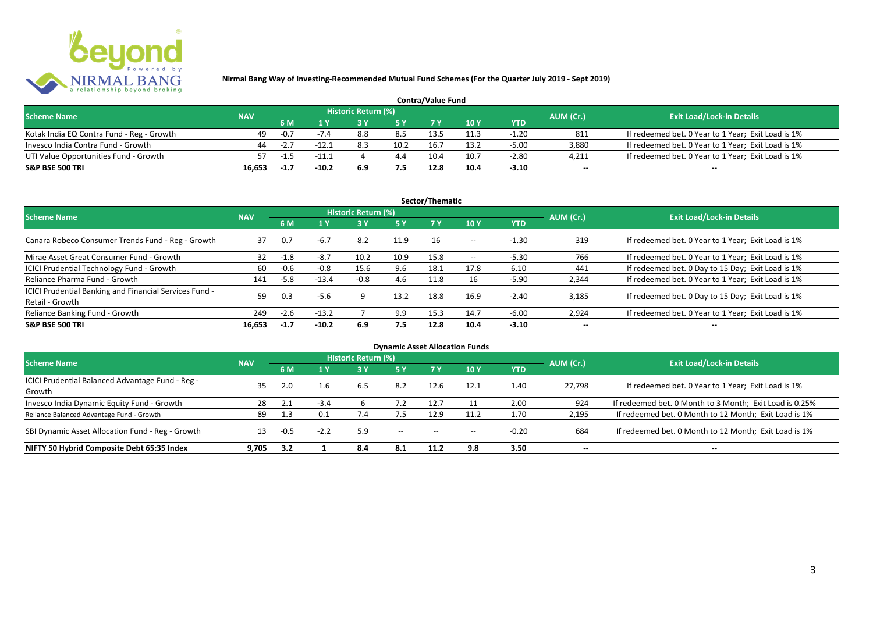

| <b>Contra/Value Fund</b>                  |            |        |         |                     |      |      |      |         |           |                                                    |  |
|-------------------------------------------|------------|--------|---------|---------------------|------|------|------|---------|-----------|----------------------------------------------------|--|
| <b>Scheme Name</b>                        | <b>NAV</b> |        |         | Historic Return (%) |      |      |      |         | AUM (Cr.) | <b>Exit Load/Lock-in Details</b>                   |  |
|                                           |            | 6 M    |         |                     |      |      | 10Y  | YTD     |           |                                                    |  |
| Kotak India EQ Contra Fund - Reg - Growth | 49         | $-0.7$ |         | 8.8                 | 8.5  | 13.5 |      | $-1.20$ | 811       | If redeemed bet. 0 Year to 1 Year; Exit Load is 1% |  |
| Invesco India Contra Fund - Growth        | 44         | $-2.7$ | $-12$   |                     | 10.2 | 16.7 | 13.2 | $-5.00$ | 3,880     | If redeemed bet. 0 Year to 1 Year; Exit Load is 1% |  |
| UTI Value Opportunities Fund - Growth     |            | -1.5   | $-11.1$ |                     | 4.4  | 10.4 | 10.7 | $-2.80$ | 4,211     | If redeemed bet. 0 Year to 1 Year; Exit Load is 1% |  |
| <b>S&amp;P BSE 500 TRI</b>                | 16.653     | -1.7   | $-10.2$ | 6.9                 |      | 12.8 | 10.4 | $-3.10$ | $- -$     | $-$                                                |  |

|                                                                           |            |        |         |                     |           | Sector/Thematic |                   |            |                          |                                                    |
|---------------------------------------------------------------------------|------------|--------|---------|---------------------|-----------|-----------------|-------------------|------------|--------------------------|----------------------------------------------------|
| <b>Scheme Name</b>                                                        | <b>NAV</b> |        |         | Historic Return (%) |           |                 |                   |            | AUM (Cr.)                | <b>Exit Load/Lock-in Details</b>                   |
|                                                                           |            | 6 M    | 1 Y     | 3 Y                 | <b>5Y</b> | <b>7Y</b>       | 10Y               | <b>YTD</b> |                          |                                                    |
| Canara Robeco Consumer Trends Fund - Reg - Growth                         | 37         | 0.7    | $-6.7$  | 8.2                 | 11.9      | 16              | $- -$             | $-1.30$    | 319                      | If redeemed bet. 0 Year to 1 Year; Exit Load is 1% |
| Mirae Asset Great Consumer Fund - Growth                                  | 32         | $-1.8$ | $-8.7$  | 10.2                | 10.9      | 15.8            | $\hspace{0.05cm}$ | $-5.30$    | 766                      | If redeemed bet. 0 Year to 1 Year; Exit Load is 1% |
| ICICI Prudential Technology Fund - Growth                                 | 60         | $-0.6$ | $-0.8$  | 15.6                | 9.6       | 18.1            | 17.8              | 6.10       | 441                      | If redeemed bet. 0 Day to 15 Day; Exit Load is 1%  |
| Reliance Pharma Fund - Growth                                             | 141        | $-5.8$ | $-13.4$ | $-0.8$              | 4.6       | 11.8            | 16                | $-5.90$    | 2,344                    | If redeemed bet. 0 Year to 1 Year; Exit Load is 1% |
| ICICI Prudential Banking and Financial Services Fund -<br>Retail - Growth | 59         | 0.3    | $-5.6$  | q                   | 13.2      | 18.8            | 16.9              | $-2.40$    | 3.185                    | If redeemed bet. 0 Day to 15 Day; Exit Load is 1%  |
| Reliance Banking Fund - Growth                                            | 249        | $-2.6$ | $-13.2$ |                     | 9.9       | 15.3            | 14.7              | $-6.00$    | 2,924                    | If redeemed bet. 0 Year to 1 Year; Exit Load is 1% |
| <b>S&amp;P BSE 500 TRI</b>                                                | 16.653     | $-1.7$ | $-10.2$ | 6.9                 | 7.5       | 12.8            | 10.4              | $-3.10$    | $\overline{\phantom{a}}$ | $- -$                                              |

|                                                            |            |        |        |                            |                          |       | <b>Dynamic Asset Allocation Funds</b> |            |                          |                                                         |
|------------------------------------------------------------|------------|--------|--------|----------------------------|--------------------------|-------|---------------------------------------|------------|--------------------------|---------------------------------------------------------|
| <b>Scheme Name</b>                                         | <b>NAV</b> |        |        | <b>Historic Return (%)</b> |                          |       |                                       |            | AUM (Cr.)                | <b>Exit Load/Lock-in Details</b>                        |
|                                                            |            | 6 M    | 1 Y    | 3 Y                        | 5 Y                      |       | 10 Y                                  | <b>YTD</b> |                          |                                                         |
| ICICI Prudential Balanced Advantage Fund - Reg -<br>Growth | 35         | 2.0    |        | 6.5                        | 8.2                      | 12.6  | 12.1                                  | 1.40       | 27.798                   | If redeemed bet. 0 Year to 1 Year; Exit Load is 1%      |
| Invesco India Dynamic Equity Fund - Growth                 | 28         | 2.1    |        |                            |                          | 12.7  |                                       | 2.00       | 924                      | If redeemed bet. 0 Month to 3 Month; Exit Load is 0.25% |
| Reliance Balanced Advantage Fund - Growth                  | 89         | 1.3    | 0.1    |                            | 7.5                      | 12.9  | 11.2                                  | 1.70       | 2,195                    | If redeemed bet. 0 Month to 12 Month; Exit Load is 1%   |
| SBI Dynamic Asset Allocation Fund - Reg - Growth           |            | $-0.5$ | $-2.2$ | 5.9                        | $\hspace{0.05cm} \ldots$ | $- -$ | $- -$                                 | $-0.20$    | 684                      | If redeemed bet. 0 Month to 12 Month; Exit Load is 1%   |
| NIFTY 50 Hybrid Composite Debt 65:35 Index                 | 9.705      | 3.2    |        | 8.4                        | 8.1                      | 11.2  | 9.8                                   | 3.50       | $\overline{\phantom{a}}$ | $- -$                                                   |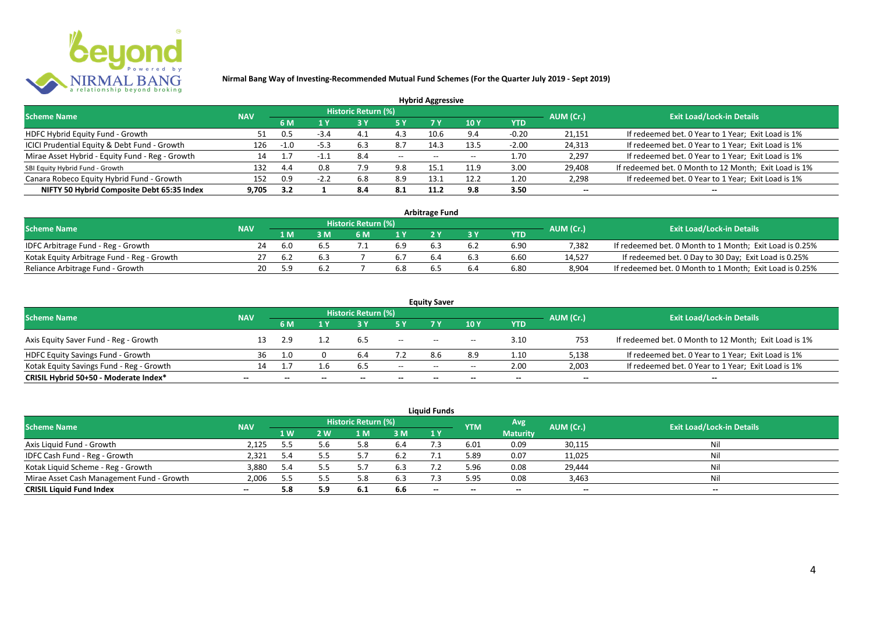

|                                                 |            |        |        |                            |           | <b>Hybrid Aggressive</b> |                          |            |                          |                                                       |
|-------------------------------------------------|------------|--------|--------|----------------------------|-----------|--------------------------|--------------------------|------------|--------------------------|-------------------------------------------------------|
| <b>Scheme Name</b>                              | <b>NAV</b> |        |        | <b>Historic Return (%)</b> |           |                          |                          |            | AUM (Cr.)                | <b>Exit Load/Lock-in Details</b>                      |
|                                                 |            | 6 M    | 1 Y    |                            | <b>5Y</b> | 7 Y                      | 10Y                      | <b>YTD</b> |                          |                                                       |
| HDFC Hybrid Equity Fund - Growth                | 51.        | 0.5    | $-3.4$ |                            | 4.3       | 10.6                     | 9.4                      | $-0.20$    | 21,151                   | If redeemed bet. 0 Year to 1 Year; Exit Load is 1%    |
| ICICI Prudential Equity & Debt Fund - Growth    | 126        | $-1.0$ | $-5.3$ | 6.3                        | 8.7       | 14.3                     | 13.5                     | $-2.00$    | 24,313                   | If redeemed bet. 0 Year to 1 Year; Exit Load is 1%    |
| Mirae Asset Hybrid - Equity Fund - Reg - Growth | 14         |        | -1.1   | 8.4                        | $--$      | $- -$                    | $\overline{\phantom{a}}$ | 1.70       | 2,297                    | If redeemed bet. 0 Year to 1 Year; Exit Load is 1%    |
| SBI Equity Hybrid Fund - Growth                 | 132        | 4.4    | 0.8    | 7.9                        | 9.8       | 15.                      | 11.9                     | 3.00       | 29,408                   | If redeemed bet. 0 Month to 12 Month; Exit Load is 1% |
| Canara Robeco Equity Hybrid Fund - Growth       | 152        | 0.9    |        | 6.8                        | 8.9       |                          | 12.2                     | 1.20       | 2,298                    | If redeemed bet. 0 Year to 1 Year; Exit Load is 1%    |
| NIFTY 50 Hybrid Composite Debt 65:35 Index      | 9.705      | 3.2    |        | 8.4                        | 8.1       | 11.2                     | 9.8                      | 3.50       | $\overline{\phantom{a}}$ | $\overline{\phantom{a}}$                              |

| <b>Arbitrage Fund</b>                      |            |     |     |                     |     |     |     |            |           |                                                         |  |  |  |  |
|--------------------------------------------|------------|-----|-----|---------------------|-----|-----|-----|------------|-----------|---------------------------------------------------------|--|--|--|--|
| <b>Scheme Name</b>                         | <b>NAV</b> |     |     | Historic Return (%) |     |     |     |            | AUM (Cr.) | <b>Exit Load/Lock-in Details</b>                        |  |  |  |  |
|                                            |            | 1 M |     | 6 M                 |     |     |     | <b>YTD</b> |           |                                                         |  |  |  |  |
| IDFC Arbitrage Fund - Reg - Growth         | 24         | 6.0 | 6.5 |                     | 6.9 |     | 6.2 | 6.90       | 7.382     | If redeemed bet. 0 Month to 1 Month; Exit Load is 0.25% |  |  |  |  |
| Kotak Equity Arbitrage Fund - Reg - Growth |            | 6.2 | 6.3 |                     |     | 6.4 | 6.3 | 6.60       | 14.527    | If redeemed bet. 0 Day to 30 Day; Exit Load is 0.25%    |  |  |  |  |
| Reliance Arbitrage Fund - Growth           | 20         | 5.9 | 6.2 |                     | 6.8 |     | 6.4 | 6.80       | 8.904     | If redeemed bet. 0 Month to 1 Month; Exit Load is 0.25% |  |  |  |  |

| <b>Equity Saver</b>                      |                          |     |              |                     |                          |                                       |                                       |                          |                          |                                                       |  |  |  |
|------------------------------------------|--------------------------|-----|--------------|---------------------|--------------------------|---------------------------------------|---------------------------------------|--------------------------|--------------------------|-------------------------------------------------------|--|--|--|
| <b>Scheme Name</b>                       | <b>NAV</b>               |     |              | Historic Return (%) |                          |                                       |                                       |                          | AUM (Cr.)                | <b>Exit Load/Lock-in Details</b>                      |  |  |  |
|                                          |                          | 6 M |              |                     |                          |                                       | 10 Y                                  | YTD                      |                          |                                                       |  |  |  |
| Axis Equity Saver Fund - Reg - Growth    |                          | 2.9 |              |                     | $\overline{\phantom{a}}$ | $- -$                                 | $\hspace{0.05cm}$ – $\hspace{0.05cm}$ | 3.10                     | 753                      | If redeemed bet. 0 Month to 12 Month; Exit Load is 1% |  |  |  |
| HDFC Equity Savings Fund - Growth        | 36                       | 1.0 |              |                     |                          | 8.6                                   | 8.9                                   | 1.10                     | 5,138                    | If redeemed bet. 0 Year to 1 Year; Exit Load is 1%    |  |  |  |
| Kotak Equity Savings Fund - Reg - Growth | 14                       |     | 1.6          | 6.5                 | $- -$                    | $\hspace{0.05cm}$ – $\hspace{0.05cm}$ | $- -$                                 | 2.00                     | 2,003                    | If redeemed bet. 0 Year to 1 Year; Exit Load is 1%    |  |  |  |
| CRISIL Hybrid 50+50 - Moderate Index*    | $\overline{\phantom{a}}$ |     | $\mathbf{m}$ | $- -$               | $\overline{\phantom{a}}$ | $- -$                                 | $\overline{\phantom{a}}$              | $\overline{\phantom{a}}$ | $\overline{\phantom{a}}$ | $\overline{\phantom{a}}$                              |  |  |  |

| <b>Liquid Funds</b>                       |            |      |     |                     |      |       |            |                 |           |                                  |  |  |  |
|-------------------------------------------|------------|------|-----|---------------------|------|-------|------------|-----------------|-----------|----------------------------------|--|--|--|
| <b>Scheme Name</b>                        | <b>NAV</b> |      |     | Historic Return (%) |      |       | <b>YTM</b> | Avg             | AUM (Cr.) | <b>Exit Load/Lock-in Details</b> |  |  |  |
|                                           |            | 1 W. | 2 W | 1 M                 | 3 M  | 1Y    |            | <b>Maturity</b> |           |                                  |  |  |  |
| Axis Liquid Fund - Growth                 | 2,125      | 5.5  | 5.h | 8                   | -6.4 |       | 6.01       | 0.09            | 30,115    | Nil                              |  |  |  |
| IDFC Cash Fund - Reg - Growth             | 2,321      | 5.4  |     |                     | 6.2  |       | 5.89       | 0.07            | 11,025    | Nil                              |  |  |  |
| Kotak Liquid Scheme - Reg - Growth        | 3,880      | 5.4  |     |                     | 6.3  |       | 5.96       | 0.08            | 29,444    | Nil                              |  |  |  |
| Mirae Asset Cash Management Fund - Growth | 2,006      | 5.5  |     | 5.8                 | 6.3  |       | 5.95       | 0.08            | 3,463     | Nil                              |  |  |  |
| <b>CRISIL Liquid Fund Index</b>           | $\sim$     | 5.8  | 5.9 | 6.1                 | 6.6  | $- -$ | $- -$      | $- -$           | --        | $- -$                            |  |  |  |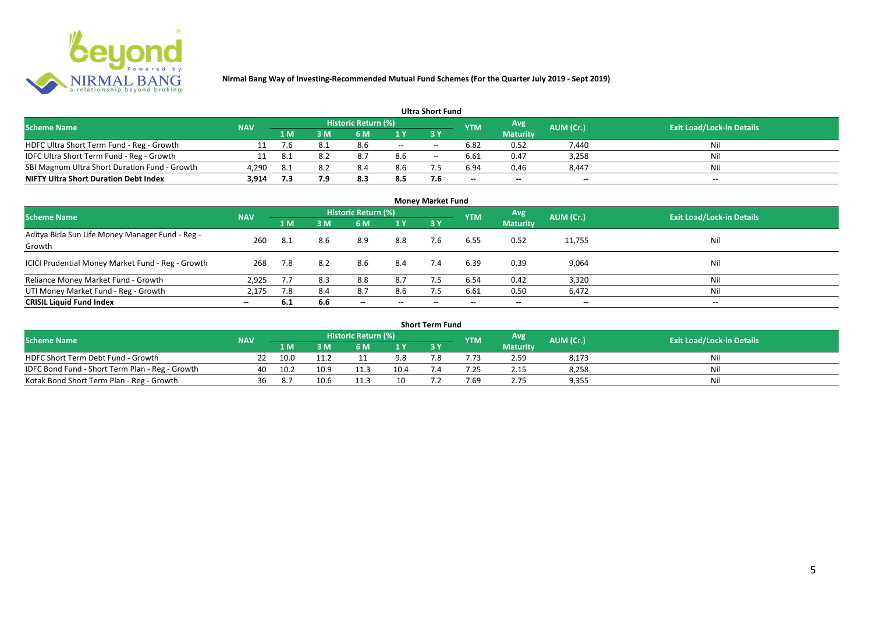

| <b>Ultra Short Fund</b>                       |            |     |      |                            |       |       |                          |                          |                          |                                  |  |  |  |
|-----------------------------------------------|------------|-----|------|----------------------------|-------|-------|--------------------------|--------------------------|--------------------------|----------------------------------|--|--|--|
| <b>Scheme Name</b>                            | <b>NAV</b> |     |      | <b>Historic Return (%)</b> |       |       | <b>YTM</b>               | Avg                      | AUM (Cr.)                | <b>Exit Load/Lock-in Details</b> |  |  |  |
|                                               |            | 1 M | 3 M  | 6 M                        |       |       |                          | <b>Maturity</b>          |                          |                                  |  |  |  |
| HDFC Ultra Short Term Fund - Reg - Growth     |            | 7.6 | 8.1  | 8.6                        | $- -$ | $- -$ | 6.82                     | 0.52                     | 7,440                    | Nil                              |  |  |  |
| IDFC Ultra Short Term Fund - Reg - Growth     |            | 8.1 | -8.2 | 8.7                        | 8.6   | $- -$ | 6.61                     | 0.47                     | 3,258                    | Nil                              |  |  |  |
| SBI Magnum Ultra Short Duration Fund - Growth | 4,290      | 8.1 | 8.2  | 8.4                        | 8.6   |       | 6.94                     | 0.46                     | 8,447                    | Nil                              |  |  |  |
| <b>NIFTY Ultra Short Duration Debt Index</b>  | 3,914      | 7.3 |      | 8.3                        | 8.5   | 7.6   | $\overline{\phantom{a}}$ | $\overline{\phantom{a}}$ | $\overline{\phantom{a}}$ | $\overline{\phantom{a}}$         |  |  |  |

| <b>Money Market Fund</b>                                   |            |     |     |                            |                          |           |            |                 |                          |                                  |  |  |  |
|------------------------------------------------------------|------------|-----|-----|----------------------------|--------------------------|-----------|------------|-----------------|--------------------------|----------------------------------|--|--|--|
| <b>Scheme Name</b>                                         | <b>NAV</b> |     |     | <b>Historic Return (%)</b> |                          |           | <b>YTM</b> | Avg             | AUM (Cr.)                | <b>Exit Load/Lock-in Details</b> |  |  |  |
|                                                            |            | 1 M | 3M  | 6 M                        | 1Y                       | <b>3Y</b> |            | <b>Maturity</b> |                          |                                  |  |  |  |
| Aditya Birla Sun Life Money Manager Fund - Reg -<br>Growth | 260        | 8.1 | 8.6 | 8.9                        | 8.8                      | 7.6       | 6.55       | 0.52            | 11,755                   | Nil                              |  |  |  |
| ICICI Prudential Money Market Fund - Reg - Growth          | 268        | 7.8 | 8.2 | 8.6                        | 8.4                      | 7.4       | 6.39       | 0.39            | 9,064                    | Nil                              |  |  |  |
| Reliance Money Market Fund - Growth                        | 2.925      | 7.7 | 8.3 | 8.8                        | 8.7                      |           | 6.54       | 0.42            | 3,320                    | Nil                              |  |  |  |
| UTI Money Market Fund - Reg - Growth                       | 2,175      | 7.8 | 8.4 | 8.7                        | 8.6                      | 7.5       | 6.61       | 0.50            | 6,472                    | Nil                              |  |  |  |
| <b>CRISIL Liquid Fund Index</b>                            | $- -$      | 6.1 | 6.6 | $\overline{\phantom{a}}$   | $\overline{\phantom{a}}$ | $- -$     | $\!-$      | $\sim$          | $\overline{\phantom{a}}$ | $\overline{\phantom{a}}$         |  |  |  |

| Short Term Fund                                 |            |      |      |                     |      |     |            |                 |           |                                  |  |  |  |
|-------------------------------------------------|------------|------|------|---------------------|------|-----|------------|-----------------|-----------|----------------------------------|--|--|--|
| <b>Scheme Name</b>                              | <b>NAV</b> |      |      | Historic Return (%) |      |     | <b>YTM</b> | Avg             | AUM (Cr.) | <b>Exit Load/Lock-in Details</b> |  |  |  |
|                                                 |            | 1 M  |      | 6 M                 | 1 V  |     |            | <b>Maturity</b> |           |                                  |  |  |  |
| HDFC Short Term Debt Fund - Growth              |            | 10.0 | 11.2 |                     | 9.8  | ה − |            | 2.59            | 8,173     | Nil                              |  |  |  |
| IDFC Bond Fund - Short Term Plan - Reg - Growth | 40         | 10.2 | 10.9 | 11.3                | 10.4 |     | .25        | 2.15            | 8,258     | Nil                              |  |  |  |
| Kotak Bond Short Term Plan - Reg - Growth       | 36         | 8.7  | 10.6 | 11.3                | 10   |     | 7.69       | 2.75            | 9,355     | Nil                              |  |  |  |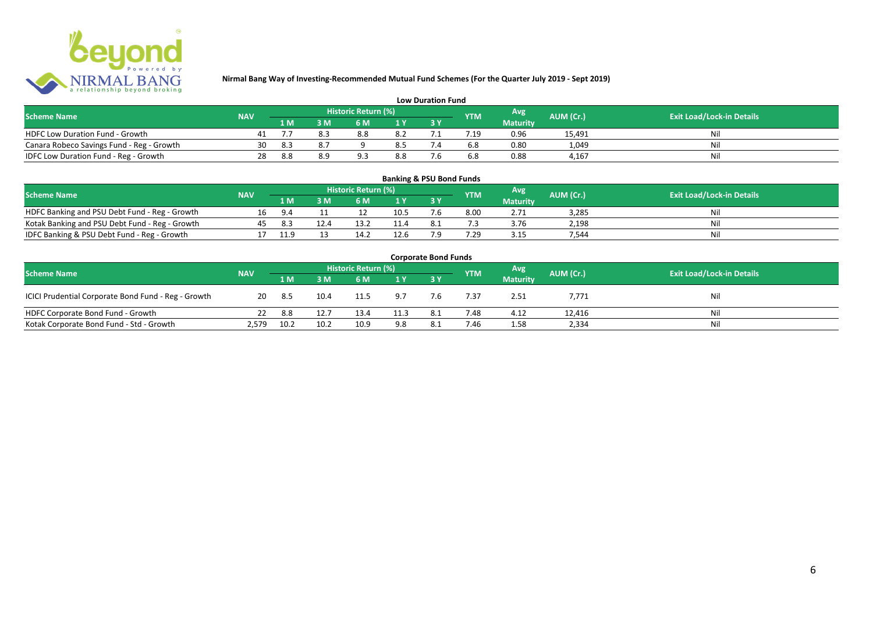

| <b>Low Duration Fund</b>                  |            |     |     |                     |     |  |            |                 |           |                                  |  |  |  |  |
|-------------------------------------------|------------|-----|-----|---------------------|-----|--|------------|-----------------|-----------|----------------------------------|--|--|--|--|
| <b>Scheme Name</b>                        | <b>NAV</b> |     |     | Historic Return (%) |     |  | <b>YTM</b> | Avg             | AUM (Cr.) | <b>Exit Load/Lock-in Details</b> |  |  |  |  |
|                                           |            | 1 M |     | 6 M                 |     |  |            | <b>Maturity</b> |           |                                  |  |  |  |  |
| <b>HDFC Low Duration Fund - Growth</b>    |            |     |     | 8.8                 | 8.2 |  | .19        | 0.96            | 15,491    | Nli                              |  |  |  |  |
| Canara Robeco Savings Fund - Reg - Growth | 30         | 8.3 | 8.7 |                     | 8.5 |  | 6.8        | 0.80            | 1,049     | Ni                               |  |  |  |  |
| IDFC Low Duration Fund - Reg - Growth     | 28         | 8.8 |     |                     | 8.8 |  | 6.8        | 0.88            | 4.167     | -Ni                              |  |  |  |  |

| <b>Banking &amp; PSU Bond Funds</b>            |            |      |      |                     |                |     |            |                 |           |                                  |  |  |  |
|------------------------------------------------|------------|------|------|---------------------|----------------|-----|------------|-----------------|-----------|----------------------------------|--|--|--|
| <b>Scheme Name</b>                             | <b>NAV</b> |      |      | Historic Return (%) |                |     | <b>YTM</b> | Avg             | AUM (Cr.) | <b>Exit Load/Lock-in Details</b> |  |  |  |
|                                                |            | 1 M  | з м  | 6 M                 | 1 <sup>Y</sup> |     |            | <b>Maturity</b> |           |                                  |  |  |  |
| HDFC Banking and PSU Debt Fund - Reg - Growth  |            | 9.4  |      |                     | 10.5           | '.b | 8.00       | 2.71            | 3.285     | Nil                              |  |  |  |
| Kotak Banking and PSU Debt Fund - Reg - Growth | 45.        | 8.3  | 12.4 |                     |                |     |            | 3.76            | 2.198     | Nil                              |  |  |  |
| IDFC Banking & PSU Debt Fund - Reg - Growth    |            | 11.9 |      | 14.7                | 12.6           | ہ - | '.29       | 3.15            | 544.      | Nil                              |  |  |  |

| <b>Corporate Bond Funds</b>                         |            |      |      |                     |                |     |            |                 |           |                                  |  |  |  |
|-----------------------------------------------------|------------|------|------|---------------------|----------------|-----|------------|-----------------|-----------|----------------------------------|--|--|--|
| <b>Scheme Name</b>                                  | <b>NAV</b> |      |      | Historic Return (%) |                |     | <b>YTM</b> | <b>Avg</b>      | AUM (Cr.) | <b>Exit Load/Lock-in Details</b> |  |  |  |
|                                                     |            | 1 M  | 3M   | 6 M                 | 1 <sup>Y</sup> |     |            | <b>Maturity</b> |           |                                  |  |  |  |
| ICICI Prudential Corporate Bond Fund - Reg - Growth | 20         | 8.5  | 10.4 | 11.5                | 9.7            | 7.6 | 7.37       | 2.51            | 7,771     | Nil                              |  |  |  |
| HDFC Corporate Bond Fund - Growth                   |            | 8.8  | 12.7 | 13.4                | 11.3           |     | 7.48       | 4.12            | 12,416    | Nil                              |  |  |  |
| Kotak Corporate Bond Fund - Std - Growth            | 2.579      | 10.2 | 10.2 | 10.9                | 9.8            |     | 7.46       | 1.58            | 2,334     | Nil                              |  |  |  |